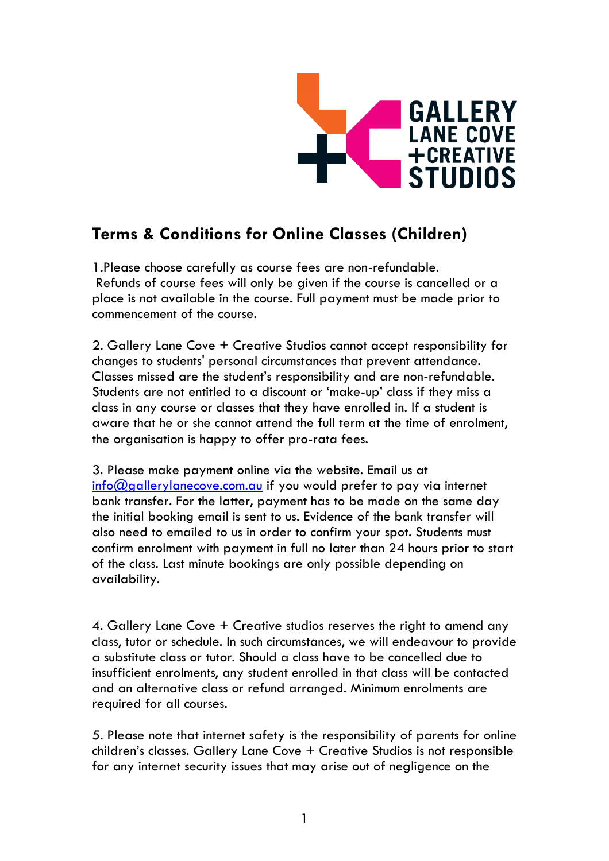

## **Terms & Conditions for Online Classes (Children)**

1.Please choose carefully as course fees are non-refundable. Refunds of course fees will only be given if the course is cancelled or a place is not available in the course. Full payment must be made prior to commencement of the course.

2. Gallery Lane Cove + Creative Studios cannot accept responsibility for changes to students' personal circumstances that prevent attendance. Classes missed are the student's responsibility and are non-refundable. Students are not entitled to a discount or 'make-up' class if they miss a class in any course or classes that they have enrolled in. If a student is aware that he or she cannot attend the full term at the time of enrolment, the organisation is happy to offer pro-rata fees.

3. Please make payment online via the website. Email us at  $\frac{1}{100}$  and  $\frac{1}{100}$  and  $\frac{1}{100}$  and  $\frac{1}{100}$  if you would prefer to pay via internet bank transfer. For the latter, payment has to be made on the same day the initial booking email is sent to us. Evidence of the bank transfer will also need to emailed to us in order to confirm your spot. Students must confirm enrolment with payment in full no later than 24 hours prior to start of the class. Last minute bookings are only possible depending on availability.

4. Gallery Lane Cove + Creative studios reserves the right to amend any class, tutor or schedule. In such circumstances, we will endeavour to provide a substitute class or tutor. Should a class have to be cancelled due to insufficient enrolments, any student enrolled in that class will be contacted and an alternative class or refund arranged. Minimum enrolments are required for all courses.

5. Please note that internet safety is the responsibility of parents for online children's classes. Gallery Lane Cove + Creative Studios is not responsible for any internet security issues that may arise out of negligence on the